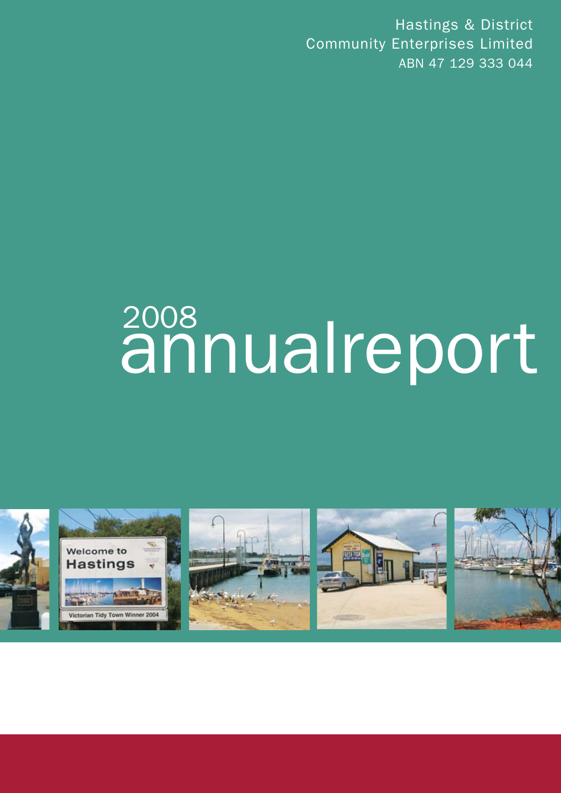Hastings & District Community Enterprises Limited ABN 47 129 333 044

# 2008<br>annualreport

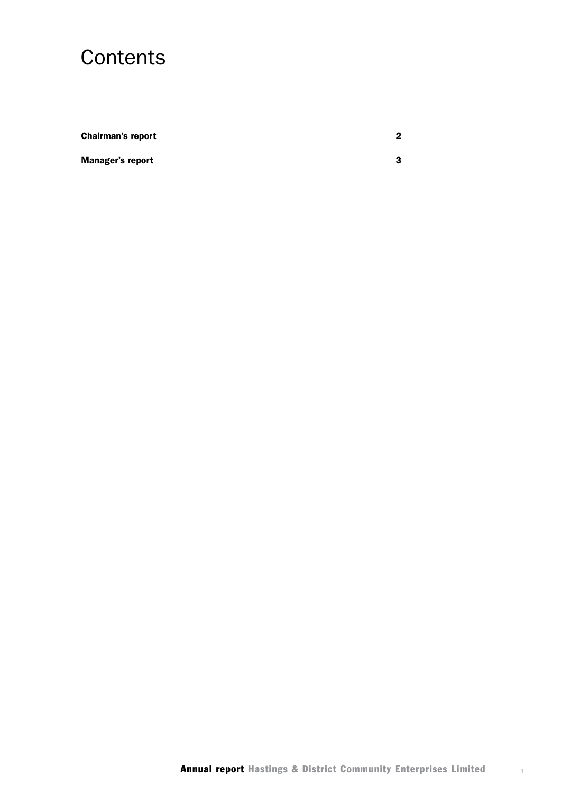### **Contents**

Chairman's report 2

Manager's report 3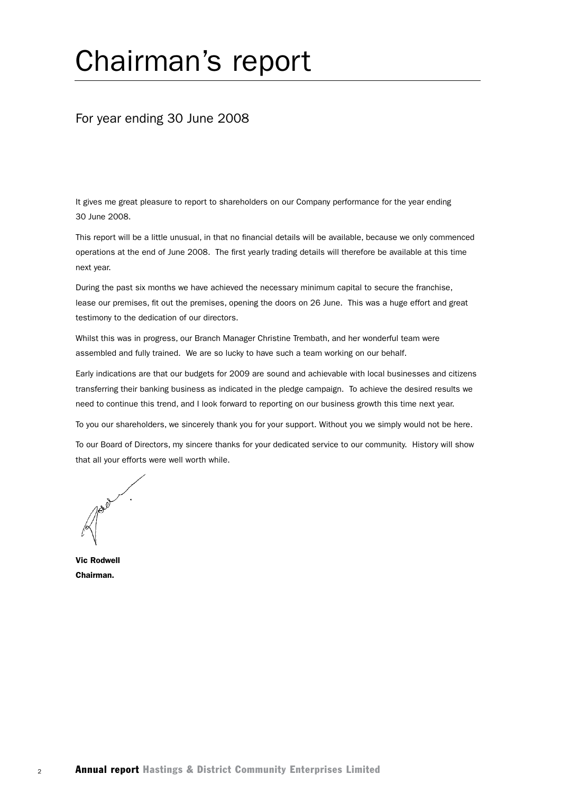## Chairman's report

#### For year ending 30 June 2008

It gives me great pleasure to report to shareholders on our Company performance for the year ending 30 June 2008.

This report will be a little unusual, in that no financial details will be available, because we only commenced operations at the end of June 2008. The first yearly trading details will therefore be available at this time next year.

During the past six months we have achieved the necessary minimum capital to secure the franchise, lease our premises, fit out the premises, opening the doors on 26 June. This was a huge effort and great testimony to the dedication of our directors.

Whilst this was in progress, our Branch Manager Christine Trembath, and her wonderful team were assembled and fully trained. We are so lucky to have such a team working on our behalf.

Early indications are that our budgets for 2009 are sound and achievable with local businesses and citizens transferring their banking business as indicated in the pledge campaign. To achieve the desired results we need to continue this trend, and I look forward to reporting on our business growth this time next year.

To you our shareholders, we sincerely thank you for your support. Without you we simply would not be here.

To our Board of Directors, my sincere thanks for your dedicated service to our community. History will show that all your efforts were well worth while.

Vic Rodwell Chairman.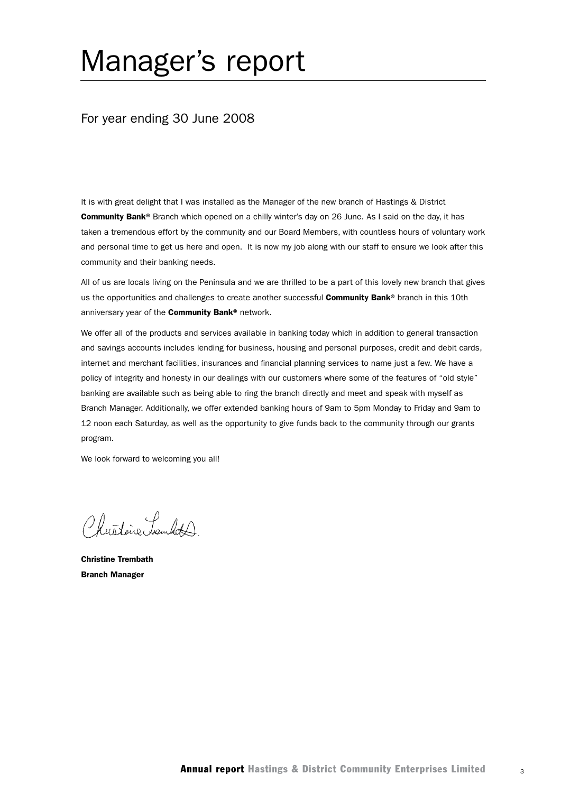## Manager's report

#### For year ending 30 June 2008

It is with great delight that I was installed as the Manager of the new branch of Hastings & District Community Bank® Branch which opened on a chilly winter's day on 26 June. As I said on the day, it has taken a tremendous effort by the community and our Board Members, with countless hours of voluntary work and personal time to get us here and open. It is now my job along with our staff to ensure we look after this community and their banking needs.

All of us are locals living on the Peninsula and we are thrilled to be a part of this lovely new branch that gives us the opportunities and challenges to create another successful **Community Bank®** branch in this 10th anniversary year of the **Community Bank®** network.

We offer all of the products and services available in banking today which in addition to general transaction and savings accounts includes lending for business, housing and personal purposes, credit and debit cards, internet and merchant facilities, insurances and financial planning services to name just a few. We have a policy of integrity and honesty in our dealings with our customers where some of the features of "old style" banking are available such as being able to ring the branch directly and meet and speak with myself as Branch Manager. Additionally, we offer extended banking hours of 9am to 5pm Monday to Friday and 9am to 12 noon each Saturday, as well as the opportunity to give funds back to the community through our grants program.

We look forward to welcoming you all!

Churtine Lembert

Christine Trembath Branch Manager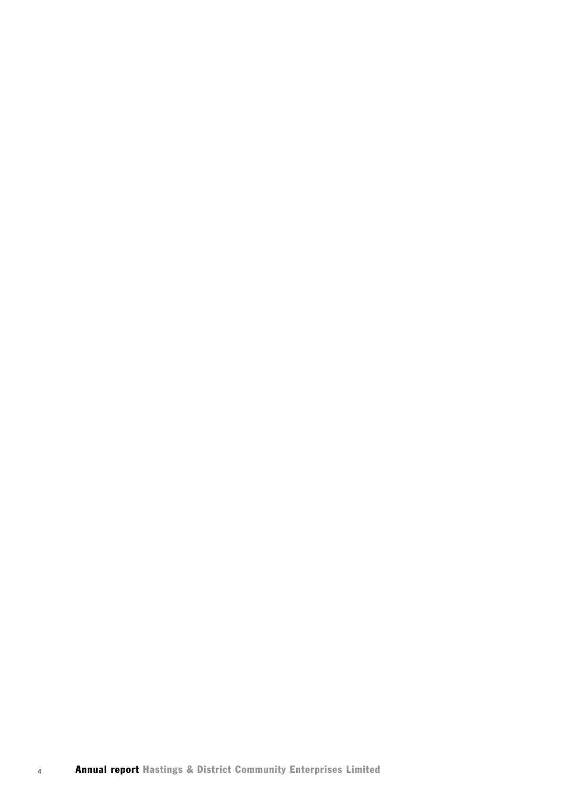Annual report Hastings & District Community Enterprises Limited